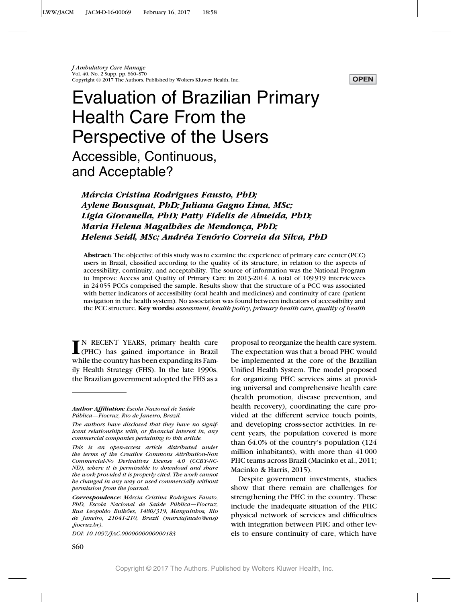**OPEN** 

# Evaluation of Brazilian Primary Health Care From the Perspective of the Users Accessible, Continuous, and Acceptable?

*Marcia Cristina Rodrigues Fausto, PhD; ´ Aylene Bousquat, PhD; Juliana Gagno Lima, MSc; Ligia Giovanella, PhD; Patty Fidelis de Almeida, PhD; Maria Helena Magalhães de Mendonça, PhD; Helena Seidl, MSc; Andréa Tenório Correia da Silva, PhD* 

**Abstract:** The objective of this study was to examine the experience of primary care center (PCC) users in Brazil, classified according to the quality of its structure, in relation to the aspects of accessibility, continuity, and acceptability. The source of information was the National Program to Improve Access and Quality of Primary Care in 2013-2014. A total of 109 919 interviewees in 24 055 PCCs comprised the sample. Results show that the structure of a PCC was associated with better indicators of accessibility (oral health and medicines) and continuity of care (patient navigation in the health system). No association was found between indicators of accessibility and the PCC structure. **Key words:** *assessment, health policy, primary health care, quality of health*

**I** N RECENT YEARS, primary health care (PHC) has gained importance in Brazil while the country has been expanding its Family Health Strategy (FHS). In the late 1990s, the Brazilian government adopted the FHS as a

*DOI: 10.1097/JAC.0000000000000183*

proposal to reorganize the health care system. The expectation was that a broad PHC would be implemented at the core of the Brazilian Unified Health System. The model proposed for organizing PHC services aims at providing universal and comprehensive health care (health promotion, disease prevention, and health recovery), coordinating the care provided at the different service touch points, and developing cross-sector activities. In recent years, the population covered is more than 64.0% of the country's population (124 million inhabitants), with more than 41 000 PHC teams across Brazil (Macinko et al., 2011; Macinko & Harris, 2015).

Despite government investments, studies show that there remain are challenges for strengthening the PHC in the country. These include the inadequate situation of the PHC physical network of services and difficulties with integration between PHC and other levels to ensure continuity of care, which have

*Author Affiliation: Escola Nacional de Saude ´ Publica—Fiocruz, Rio de Janeiro, Brazil. ´*

*The authors have disclosed that they have no significant relationships with, or financial interest in, any commercial companies pertaining to this article.*

*This is an open-access article distributed under the terms of the [Creative Commons Attribution-Non](http://creativecommons.org/licenses/by-nc/4.0/) [Commercial-No Derivatives License 4.0](http://creativecommons.org/licenses/by-nc/4.0/) (CCBY-NC-ND), where it is permissible to download and share the work provided it is properly cited. The work cannot be changed in any way or used commercially without permission from the journal.*

*Correspondence: Marcia Cristina Rodrigues Fausto, ´ PhD, Escola Nacional de Saude P ´ ublica—Fiocruz, ´ Rua Leopoldo Bulhoes, 1480/319, Manguinhos, Rio ˜ de Janeiro, 21041-210, Brazil (marciafausto@ensp .fiocruz.br).*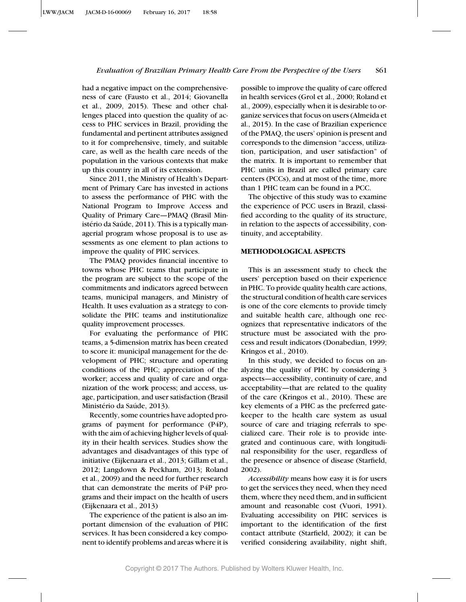had a negative impact on the comprehensiveness of care (Fausto et al., 2014; Giovanella et al., 2009, 2015). These and other challenges placed into question the quality of access to PHC services in Brazil, providing the fundamental and pertinent attributes assigned to it for comprehensive, timely, and suitable care, as well as the health care needs of the population in the various contexts that make up this country in all of its extension.

Since 2011, the Ministry of Health's Department of Primary Care has invested in actions to assess the performance of PHC with the National Program to Improve Access and Quality of Primary Care—PMAQ (Brasil Ministério da Saúde, 2011). This is a typically managerial program whose proposal is to use assessments as one element to plan actions to improve the quality of PHC services.

The PMAQ provides financial incentive to towns whose PHC teams that participate in the program are subject to the scope of the commitments and indicators agreed between teams, municipal managers, and Ministry of Health. It uses evaluation as a strategy to consolidate the PHC teams and institutionalize quality improvement processes.

For evaluating the performance of PHC teams, a 5-dimension matrix has been created to score it: municipal management for the development of PHC; structure and operating conditions of the PHC; appreciation of the worker; access and quality of care and organization of the work process; and access, usage, participation, and user satisfaction (Brasil Ministério da Saúde, 2013).

Recently, some countries have adopted programs of payment for performance (P4P), with the aim of achieving higher levels of quality in their health services. Studies show the advantages and disadvantages of this type of initiative (Eijkenaara et al., 2013; Gillam et al., 2012; Langdown & Peckham, 2013; Roland et al., 2009) and the need for further research that can demonstrate the merits of P4P programs and their impact on the health of users (Eijkenaara et al., 2013)

The experience of the patient is also an important dimension of the evaluation of PHC services. It has been considered a key component to identify problems and areas where it is possible to improve the quality of care offered in health services (Grol et al., 2000; Roland et al., 2009), especially when it is desirable to organize services that focus on users (Almeida et al., 2015). In the case of Brazilian experience of the PMAQ, the users' opinion is present and corresponds to the dimension "access, utilization, participation, and user satisfaction" of the matrix. It is important to remember that PHC units in Brazil are called primary care centers (PCCs), and at most of the time, more than 1 PHC team can be found in a PCC.

The objective of this study was to examine the experience of PCC users in Brazil, classified according to the quality of its structure, in relation to the aspects of accessibility, continuity, and acceptability.

### **METHODOLOGICAL ASPECTS**

This is an assessment study to check the users' perception based on their experience in PHC. To provide quality health care actions, the structural condition of health care services is one of the core elements to provide timely and suitable health care, although one recognizes that representative indicators of the structure must be associated with the process and result indicators (Donabedian, 1999; Kringos et al., 2010).

In this study, we decided to focus on analyzing the quality of PHC by considering 3 aspects—accessibility, continuity of care, and acceptability—that are related to the quality of the care (Kringos et al., 2010). These are key elements of a PHC as the preferred gatekeeper to the health care system as usual source of care and triaging referrals to specialized care. Their role is to provide integrated and continuous care, with longitudinal responsibility for the user, regardless of the presence or absence of disease (Starfield, 2002).

*Accessibility* means how easy it is for users to get the services they need, when they need them, where they need them, and in sufficient amount and reasonable cost (Vuori, 1991). Evaluating accessibility on PHC services is important to the identification of the first contact attribute (Starfield, 2002); it can be verified considering availability, night shift,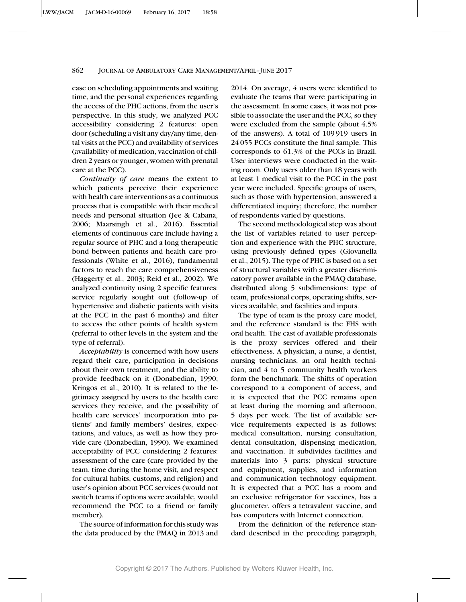ease on scheduling appointments and waiting time, and the personal experiences regarding the access of the PHC actions, from the user's perspective. In this study, we analyzed PCC accessibility considering 2 features: open door (scheduling a visit any day/any time, dental visits at the PCC) and availability of services (availability of medication, vaccination of children 2 years or younger, women with prenatal care at the PCC).

*Continuity of care* means the extent to which patients perceive their experience with health care interventions as a continuous process that is compatible with their medical needs and personal situation (Jee & Cabana, 2006; Maarsingh et al., 2016). Essential elements of continuous care include having a regular source of PHC and a long therapeutic bond between patients and health care professionals (White et al., 2016), fundamental factors to reach the care comprehensiveness (Haggerty et al., 2003; Reid et al., 2002). We analyzed continuity using 2 specific features: service regularly sought out (follow-up of hypertensive and diabetic patients with visits at the PCC in the past 6 months) and filter to access the other points of health system (referral to other levels in the system and the type of referral).

*Acceptability* is concerned with how users regard their care, participation in decisions about their own treatment, and the ability to provide feedback on it (Donabedian, 1990; Kringos et al., 2010). It is related to the legitimacy assigned by users to the health care services they receive, and the possibility of health care services' incorporation into patients' and family members' desires, expectations, and values, as well as how they provide care (Donabedian, 1990). We examined acceptability of PCC considering 2 features: assessment of the care (care provided by the team, time during the home visit, and respect for cultural habits, customs, and religion) and user's opinion about PCC services (would not switch teams if options were available, would recommend the PCC to a friend or family member).

The source of information for this study was the data produced by the PMAQ in 2013 and

2014. On average, 4 users were identified to evaluate the teams that were participating in the assessment. In some cases, it was not possible to associate the user and the PCC, so they were excluded from the sample (about 4.5% of the answers). A total of 109 919 users in 24 055 PCCs constitute the final sample. This corresponds to 61.3% of the PCCs in Brazil. User interviews were conducted in the waiting room. Only users older than 18 years with at least 1 medical visit to the PCC in the past year were included. Specific groups of users, such as those with hypertension, answered a differentiated inquiry; therefore, the number of respondents varied by questions.

The second methodological step was about the list of variables related to user perception and experience with the PHC structure, using previously defined types (Giovanella et al., 2015). The type of PHC is based on a set of structural variables with a greater discriminatory power available in the PMAQ database, distributed along 5 subdimensions: type of team, professional corps, operating shifts, services available, and facilities and inputs.

The type of team is the proxy care model, and the reference standard is the FHS with oral health. The cast of available professionals is the proxy services offered and their effectiveness. A physician, a nurse, a dentist, nursing technicians, an oral health technician, and 4 to 5 community health workers form the benchmark. The shifts of operation correspond to a component of access, and it is expected that the PCC remains open at least during the morning and afternoon, 5 days per week. The list of available service requirements expected is as follows: medical consultation, nursing consultation, dental consultation, dispensing medication, and vaccination. It subdivides facilities and materials into 3 parts: physical structure and equipment, supplies, and information and communication technology equipment. It is expected that a PCC has a room and an exclusive refrigerator for vaccines, has a glucometer, offers a tetravalent vaccine, and has computers with Internet connection.

From the definition of the reference standard described in the preceding paragraph,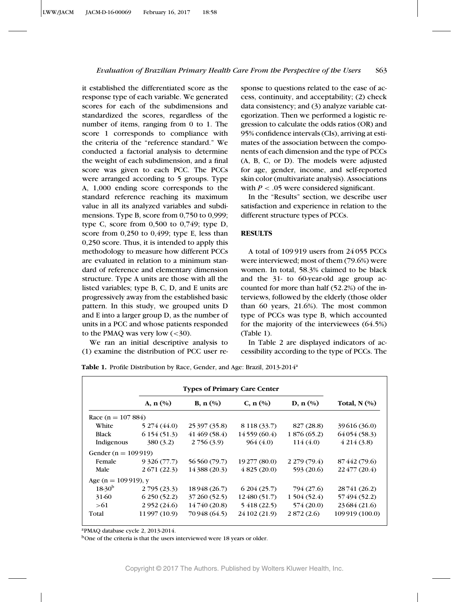it established the differentiated score as the response type of each variable. We generated scores for each of the subdimensions and standardized the scores, regardless of the number of items, ranging from 0 to 1. The score 1 corresponds to compliance with the criteria of the "reference standard." We conducted a factorial analysis to determine the weight of each subdimension, and a final score was given to each PCC. The PCCs were arranged according to 5 groups. Type A, 1,000 ending score corresponds to the standard reference reaching its maximum value in all its analyzed variables and subdimensions. Type B, score from 0,750 to 0,999; type C, score from 0,500 to 0,749; type D, score from 0,250 to 0,499; type E, less than 0,250 score. Thus, it is intended to apply this methodology to measure how different PCCs are evaluated in relation to a minimum standard of reference and elementary dimension structure. Type A units are those with all the listed variables; type B, C, D, and E units are progressively away from the established basic pattern. In this study, we grouped units D and E into a larger group D, as the number of units in a PCC and whose patients responded to the PMAQ was very low (*<*30).

We ran an initial descriptive analysis to (1) examine the distribution of PCC user response to questions related to the ease of access, continuity, and acceptability; (2) check data consistency; and (3) analyze variable categorization. Then we performed a logistic regression to calculate the odds ratios (OR) and 95% confidence intervals (CIs), arriving at estimates of the association between the components of each dimension and the type of PCCs (A, B, C, or D). The models were adjusted for age, gender, income, and self-reported skin color (multivariate analysis). Associations with  $P < .05$  were considered significant.

In the "Results" section, we describe user satisfaction and experience in relation to the different structure types of PCCs.

#### **RESULTS**

A total of 109 919 users from 24 055 PCCs were interviewed; most of them (79.6%) were women. In total, 58.3% claimed to be black and the 31- to 60-year-old age group accounted for more than half (52.2%) of the interviews, followed by the elderly (those older than 60 years, 21.6%). The most common type of PCCs was type B, which accounted for the majority of the interviewees (64.5%) (Table 1).

In Table 2 are displayed indicators of accessibility according to the type of PCCs. The

|                         |                                   | <b>Types of Primary Care Center</b> |               |               |                 |
|-------------------------|-----------------------------------|-------------------------------------|---------------|---------------|-----------------|
|                         | A, $n$ $\left(\frac{0}{0}\right)$ | <b>B</b> , $n$ (%)                  | $C, n$ $(\%)$ | $D, n$ $(\%)$ | Total, $N(\%)$  |
| Race ( $n = 107884$ )   |                                   |                                     |               |               |                 |
| White                   | 5 274 (44.0)                      | 25 397 (35.8)                       | 8 118 (33.7)  | 827 (28.8)    | 39 616 (36.0)   |
| Black                   | 6154(51.3)                        | 41469(58.4)                         | 14559(60.4)   | 1 876 (65.2)  | 64 054 (58.3)   |
| Indigenous              | 380(3.2)                          | 2756(3.9)                           | 964(4.0)      | 114(4.0)      | 4214(3.8)       |
| Gender ( $n = 109919$ ) |                                   |                                     |               |               |                 |
| Female                  | 9326(77.7)                        | 56 560 (79.7)                       | 19 277 (80.0) | 2279(79.4)    | 87442 (79.6)    |
| Male                    | 2671(22.3)                        | 14388(20.3)                         | 4825(20.0)    | 593 (20.6)    | 22 477 (20.4)   |
| Age (n = 109 919), y    |                                   |                                     |               |               |                 |
| $18-30^{b}$             | 2795(23.3)                        | 18948 (26.7)                        | 6204(25.7)    | 794 (27.6)    | 28741 (26.2)    |
| 31-60                   | 6250(52.2)                        | 37 260 (52.5)                       | 12480 (51.7)  | 1504(52.4)    | 57494 (52.2)    |
| >61                     | 2952(24.6)                        | 14740 (20.8)                        | 5418(22.5)    | 574 (20.0)    | 23 684 (21.6)   |
| Total                   | 11 997 (10.9)                     | 70948 (64.5)                        | 24 102 (21.9) | 2872(2.6)     | 109 919 (100.0) |

Table 1. Profile Distribution by Race, Gender, and Age: Brazil, 2013-2014<sup>a</sup>

aPMAQ database cycle 2, 2013-2014.

b<sub>One</sub> of the criteria is that the users interviewed were 18 years or older.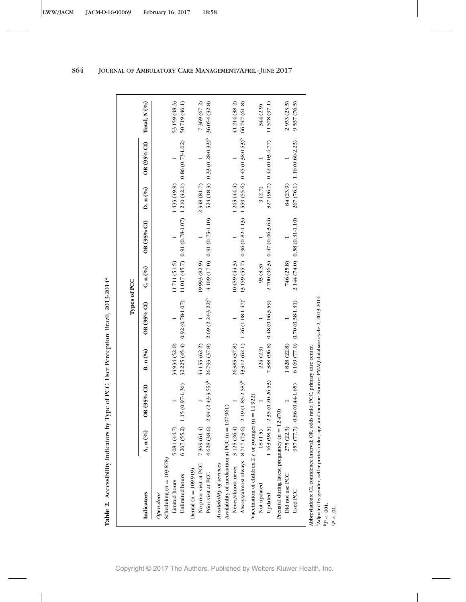| $43312(62.1)$ 1.26 $(1.081.47)$ ° 13159 (55.7) 0.96 (0.82-1.13) 1559 (55.6) 0.45 (0.38-0.53) <sup>b</sup><br>524 (18.3) 0.33 (0.28-0.33) <sup>b</sup><br>$11017(45.7)$ 0.91(0.78-1.07) 1 210(42.1) 0.86 (0.73-1.02)<br>327 (96.7) 0.42 (0.03-4.77)<br>267 (76.1) 1.16 (0.60-2.23)<br>$OR(95% \text{ Cl})$<br>1433 (49.9)<br>$-245(44.4)$<br>2348 (81.7)<br>84 (23.9)<br>9(2.7)<br>D, n (%)<br>4 109 (17.0) 0.91 (0.75-1.10)<br>2 144 (74.0) 0.58 (0.31-1.10)<br>2700 (96.3) 0.47 (0.06-3.64)<br>$OR(95% \text{ Cl})$<br>11711(51.5)<br>19993 (82.9)<br>10459 (44.3)<br>746 (25.8)<br>93(3.3)<br>C, n (%)<br>26793 (37.8) 2.69 (2.24-3.22) <sup>b</sup><br>32 225 (45.4) 0.92 (0.78-1.07)<br>7 388 (96.8) 0.48 (0.06-3.59)<br>6 169 $(77.0)$ 0.70 $(0.381.31)$<br>OR(95% CI)<br>34934 (52.0)<br>44155 (62.2)<br>26385 (37.8)<br>1828 (22.8)<br>224 (2.9)<br><b>B</b> , n (%)<br>$4628(38.6)$ $2.94(2.43-3.55)^b$<br>Always/almost always 8 717 (73.6) 2.19 (1.85-2.58) <sup>b</sup><br>1 163 (98.5) 2.35 (0.20-26.53)<br>6 267 (55.2) 1.15 (0.97-1.36)<br>957 (77.7) 0.86 (0.441.65)<br>$OR(95%$ CD<br>1ger (n = 11922)<br>Availability of medication at PCC ( $n = 107961$ )<br>Prenatal during latest pregnancy ( $n = 12470$ )<br>7369 (61.4)<br>Never/almost never 3 125 (26.4)<br>275 (22.3)<br>5 081 (44.7)<br>18(1.5)<br>A, n (%)<br>Vaccination of children 2 y or your<br>Scheduling $(n = 103878)$<br>Availability of services<br>No prior visit at PCC<br>Dental $(n = 109919)$<br>Prior visit at PCC<br>Did not use PCC<br>Unlimited hours<br>Limited hours<br>Not updated<br>Used PCC<br>Indicators<br>Open door<br>Updated |  |  | Types of PCC |  |                              |
|-----------------------------------------------------------------------------------------------------------------------------------------------------------------------------------------------------------------------------------------------------------------------------------------------------------------------------------------------------------------------------------------------------------------------------------------------------------------------------------------------------------------------------------------------------------------------------------------------------------------------------------------------------------------------------------------------------------------------------------------------------------------------------------------------------------------------------------------------------------------------------------------------------------------------------------------------------------------------------------------------------------------------------------------------------------------------------------------------------------------------------------------------------------------------------------------------------------------------------------------------------------------------------------------------------------------------------------------------------------------------------------------------------------------------------------------------------------------------------------------------------------------------------------------------------------------------------------------------------------------------------------------|--|--|--------------|--|------------------------------|
|                                                                                                                                                                                                                                                                                                                                                                                                                                                                                                                                                                                                                                                                                                                                                                                                                                                                                                                                                                                                                                                                                                                                                                                                                                                                                                                                                                                                                                                                                                                                                                                                                                         |  |  |              |  | Total, $N(%)$                |
|                                                                                                                                                                                                                                                                                                                                                                                                                                                                                                                                                                                                                                                                                                                                                                                                                                                                                                                                                                                                                                                                                                                                                                                                                                                                                                                                                                                                                                                                                                                                                                                                                                         |  |  |              |  | 53159 (48.3)<br>50719 (46.1) |
|                                                                                                                                                                                                                                                                                                                                                                                                                                                                                                                                                                                                                                                                                                                                                                                                                                                                                                                                                                                                                                                                                                                                                                                                                                                                                                                                                                                                                                                                                                                                                                                                                                         |  |  |              |  | 7369 (67.2)<br>36054 (32.8)  |
|                                                                                                                                                                                                                                                                                                                                                                                                                                                                                                                                                                                                                                                                                                                                                                                                                                                                                                                                                                                                                                                                                                                                                                                                                                                                                                                                                                                                                                                                                                                                                                                                                                         |  |  |              |  | 41214 (38.2)<br>66747 (61.8) |
|                                                                                                                                                                                                                                                                                                                                                                                                                                                                                                                                                                                                                                                                                                                                                                                                                                                                                                                                                                                                                                                                                                                                                                                                                                                                                                                                                                                                                                                                                                                                                                                                                                         |  |  |              |  | 11578 (97.1)<br>344 (2.9)    |
|                                                                                                                                                                                                                                                                                                                                                                                                                                                                                                                                                                                                                                                                                                                                                                                                                                                                                                                                                                                                                                                                                                                                                                                                                                                                                                                                                                                                                                                                                                                                                                                                                                         |  |  |              |  | 2933 (23.5)<br>9537 (76.5)   |

Table 2. Accessibility Indicators by Type of PCC, User Perception: Brazil, 2013-2014<sup>a</sup>

b*P <* .001. c*P <* .01.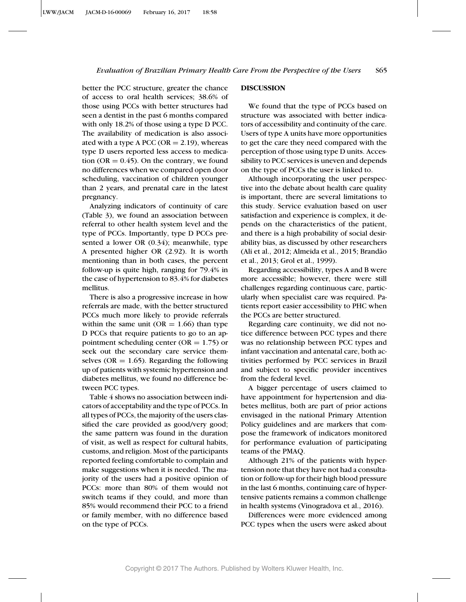better the PCC structure, greater the chance of access to oral health services; 38.6% of those using PCCs with better structures had seen a dentist in the past 6 months compared with only 18.2% of those using a type D PCC. The availability of medication is also associated with a type A PCC (OR  $= 2.19$ ), whereas type D users reported less access to medication ( $OR = 0.45$ ). On the contrary, we found no differences when we compared open door scheduling, vaccination of children younger than 2 years, and prenatal care in the latest pregnancy.

Analyzing indicators of continuity of care (Table 3), we found an association between referral to other health system level and the type of PCCs. Importantly, type D PCCs presented a lower OR (0.34); meanwhile, type A presented higher OR (2.92). It is worth mentioning than in both cases, the percent follow-up is quite high, ranging for 79.4% in the case of hypertension to 83.4% for diabetes mellitus.

There is also a progressive increase in how referrals are made, with the better structured PCCs much more likely to provide referrals within the same unit ( $OR = 1.66$ ) than type D PCCs that require patients to go to an appointment scheduling center ( $OR = 1.75$ ) or seek out the secondary care service themselves ( $OR = 1.65$ ). Regarding the following up of patients with systemic hypertension and diabetes mellitus, we found no difference between PCC types.

Table 4 shows no association between indicators of acceptability and the type of PCCs. In all types of PCCs, the majority of the users classified the care provided as good/very good; the same pattern was found in the duration of visit, as well as respect for cultural habits, customs, and religion. Most of the participants reported feeling comfortable to complain and make suggestions when it is needed. The majority of the users had a positive opinion of PCCs: more than 80% of them would not switch teams if they could, and more than 85% would recommend their PCC to a friend or family member, with no difference based on the type of PCCs.

# **DISCUSSION**

We found that the type of PCCs based on structure was associated with better indicators of accessibility and continuity of the care. Users of type A units have more opportunities to get the care they need compared with the perception of those using type D units. Accessibility to PCC services is uneven and depends on the type of PCCs the user is linked to.

Although incorporating the user perspective into the debate about health care quality is important, there are several limitations to this study. Service evaluation based on user satisfaction and experience is complex, it depends on the characteristics of the patient, and there is a high probability of social desirability bias, as discussed by other researchers (Ali et al., 2012; Almeida et al., 2015; Brandão et al., 2013; Grol et al., 1999).

Regarding accessibility, types A and B were more accessible; however, there were still challenges regarding continuous care, particularly when specialist care was required. Patients report easier accessibility to PHC when the PCCs are better structured.

Regarding care continuity, we did not notice difference between PCC types and there was no relationship between PCC types and infant vaccination and antenatal care, both activities performed by PCC services in Brazil and subject to specific provider incentives from the federal level.

A bigger percentage of users claimed to have appointment for hypertension and diabetes mellitus, both are part of prior actions envisaged in the national Primary Attention Policy guidelines and are markers that compose the framework of indicators monitored for performance evaluation of participating teams of the PMAQ.

Although 21% of the patients with hypertension note that they have not had a consultation or follow-up for their high blood pressure in the last 6 months, continuing care of hypertensive patients remains a common challenge in health systems (Vinogradova et al., 2016).

Differences were more evidenced among PCC types when the users were asked about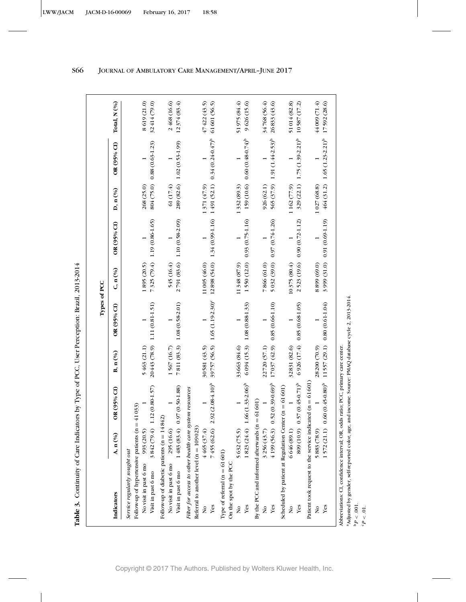| l<br>てんしゃ<br>֚֚֬<br>֚                                                                                                                                                                                                         |
|-------------------------------------------------------------------------------------------------------------------------------------------------------------------------------------------------------------------------------|
| į                                                                                                                                                                                                                             |
| l<br>I                                                                                                                                                                                                                        |
| i<br>I<br>J                                                                                                                                                                                                                   |
| ֕<br>١<br>l                                                                                                                                                                                                                   |
| j<br>l                                                                                                                                                                                                                        |
| $\mathbf{I}$                                                                                                                                                                                                                  |
| i                                                                                                                                                                                                                             |
|                                                                                                                                                                                                                               |
| in the contract of the contract of the contract of the contract of the contract of the contract of the contract of the contract of the contract of the contract of the contract of the contract of the contract of the contra |
|                                                                                                                                                                                                                               |
| j                                                                                                                                                                                                                             |

|                                                                                                                                                                                          |                             |                                                            |                               |                                             | Types of PCC                |                                           |                            |                                |                              |
|------------------------------------------------------------------------------------------------------------------------------------------------------------------------------------------|-----------------------------|------------------------------------------------------------|-------------------------------|---------------------------------------------|-----------------------------|-------------------------------------------|----------------------------|--------------------------------|------------------------------|
| Indicators                                                                                                                                                                               | A, $n$ $\left(\% \right)$   | OR (95% CI)                                                | B, n (%)                      | $OR(95%$ CI)                                | C, n (%)                    | OR $(95% \text{ CI})$                     | D, n (%)                   | OR (95% CI)                    | Total, N (%)                 |
| Follow-up of hypertensive patients<br>Service regularly sought out<br>No visit in past 6 mo<br>Visit in past 6 mo                                                                        | 993 (20.5)                  | 3 842 (79.4) 1.12 (0.80-1.57)<br>$(n = 41033)$             | 5463 (21.1)                   | 20443 (78.9) 1.11 (0.81-1.51)               | 1895 (20.5)                 | 7 325 $(79.4)$ 1.19 $(0.86-1.65)$         | 804 (75.0)<br>268 (25.0)   | 0.88(0.651.23)                 | 32414 (79.0)<br>8619 (21.0)  |
| Follow-up of diabetic patients ( $n = 14842$ )<br>No visit in past 6 mo 295 (16.6)<br>Visit in past 6 mo                                                                                 |                             | 1 483 (83.4) 0.97 (0.50-1.88)                              | 7811 (83.3)<br>1567 (16.7)    | 1.08(0.582.01)                              | 545 (16.4)                  | 2791 (83.6) 1.10 (0.58-2.09)              | 289 (82.6)<br>61 (17.4)    | $1.02(0.53-1.99)$              | 2 468 (16.6)<br>12374(83.4)  |
| Filter for access to other health care system resources<br>Referral to another level ( $n = 109023$ )<br>Yes<br>$\frac{1}{2}$                                                            | 7 455 (62.6)<br>4465 (37.4) | $2.92(2.084.10)^b$                                         | 30581 (43.5)                  | 39 757 (56.5) 1.65 (1.19-2.30) <sup>c</sup> | 11005 (46.0)                | 12898 (54.0) 1.34 (0.99-1.16) 1491 (52.1) | 1371 (47.9)                | $0.34(0.24-0.47)$ <sup>b</sup> | 47422(43.5)<br>61601 (56.5)  |
| Type of referral $(n = 61601)$<br>On the spot by the PCC<br>Yes<br>$\frac{1}{2}$                                                                                                         | 5 632 (75.5)                | $1823(24.4) 1.66(1.33-2.06)^b$                             | 33 663 (84.6)                 | $6094(15.3)$ 1.08 $(0.88-1.33)$             | 11348 (87.9)                | 1550 (12.0) 0.93 (0.75-1.16)              | 159 (10.6)<br>1332 (89.3)  | $0.60~(0.48 \cdot 0.74)^b$     | 51975 (84.4)<br>9626 (15.6)  |
| By the PCC and informed afterwards $(n = 61 601)$<br>Yes<br>ž                                                                                                                            | 3256(43.7)                  | 4 199 $(56.3)$ 0.52 $(0.39-0.69)^b$                        | 17037 (42.9)<br>22720 (57.1)  | 0.85(0.661.10)                              | 5 032 (39.0)<br>7866 (61.0) | 0.97 (0.74-1.26)                          | 565 (37.9)<br>926 (62.1)   | 1.91 $(1.44-2.53)^b$           | 34768 (56.4)<br>26833 (43.6) |
| Scheduled by patient at Regulation Center ( $n = 61601$ )<br>Yes<br>$\frac{1}{2}$                                                                                                        | 6 646 (89.1)                | 809 (10.9) 0.57 (0.45-0.71) <sup>b</sup>                   | 32831 (82.6)                  | $6926(17.4)$ 0.85 (0.681.05)                | 10375 (80.4)                | 2 523 (19.6) 0.90 (0.72-1.12)             | 329 (22.1)<br>1162(77.9)   | $1.75(1.39-2.21)^b$            | 51014 (82.8)<br>10587 (17.2) |
| Patient took request to the service indicated ( $n = 61601$ )<br>Yes<br>$\frac{1}{2}$                                                                                                    | 5883 (78.9)                 | 1 572 (21.1) 0.60 (0.45-0.80) <sup>b</sup>                 | 11557 (29.1)<br>28 200 (70.9) | $0.80(0.61-1.04)$                           | 8899 (69.0)                 | 3 999 (31.0) 0.91 (0.69-1.19)             | 464 (31.2)<br>1 027 (68.8) | $1.65(1.23-2.21)^b$            | 44009 (71.4)<br>17592 (28.6) |
| Abbreviations: CI, confidence interval; OR, odds ratio; PCC, primary care center.<br><sup>a</sup> Adjusted by gender, self-reported color,<br>${}^{\rm b}P<.001.$<br>$\emph{^cP} < .01.$ |                             | age, and income. Source: PMAQ database cycle 2, 2013-2014. |                               |                                             |                             |                                           |                            |                                |                              |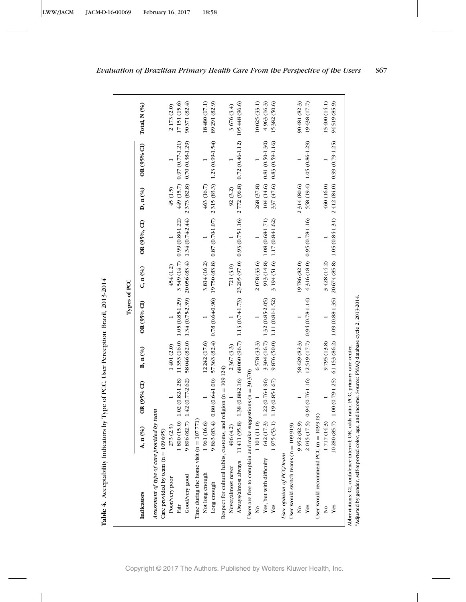|                                                                                                                                                                                |                         |                                                                                            |              | Types of PCC                                                                        |              |                                                                 |                                         |                                               |                                             |
|--------------------------------------------------------------------------------------------------------------------------------------------------------------------------------|-------------------------|--------------------------------------------------------------------------------------------|--------------|-------------------------------------------------------------------------------------|--------------|-----------------------------------------------------------------|-----------------------------------------|-----------------------------------------------|---------------------------------------------|
| Indicators                                                                                                                                                                     | A, n (%)                | OR(95% CI)                                                                                 | $B, n$ $(%)$ | OR (95% CI)                                                                         | C, n (%)     | OR(95%, CI)                                                     | $D, n$ $(%)$                            | $OR(95% \text{ Cl})$                          | Total, N (%)                                |
| Assessment of type of care provided<br>Care provided by team $(n = 10965)$<br>Good/very good<br>Poor/very poor<br>Fair                                                         | $b$ y team<br>273 (2.3) | 1800 (15.0) 1.02 (0.82-1.28)<br>9 896 (82.7) 1.42 (0.77-2.62)                              | 1401 (2.0)   | 11 353 (16.0) 1.05 (0.85-1.29)<br>58 046 (82.0) 1.34 (0.75-2.39)                    | 454 (1.2)    | $20056(83.4)$ 1.34 (0.74-2.44)<br>3 549 (14.7) 0.99 (0.80-1.22) | 449 (15.7)<br>2373 (82.8)<br>$(5.1)$ 45 | $0.97(0.77-1.21)$<br>0.70(0.381.29)           | 17151 (15.6)<br>90371 (82.4)<br>2173 (2.0)  |
| Time during the home visit ( $n = 107$<br>Not long enough<br>Long enough                                                                                                       | (144<br>1961 (16.6)     | 9 863 (83.4) 0.80 (0.64-1.00)                                                              | 12242 (17.6) | 57365 (82.4) 0.78 (0.640.96) 19750 (83.8) 0.87 (0.1.07) 2315 (83.3) 1.23 (0.991.54) | 3.814 (16.2) |                                                                 | 463 (16.7)                              |                                               | 18480 (17.1)<br>89291 (82.9)                |
| Always/almost always 11411 (95.8) 1.38 (0.88-2.16) 68 060 (96.7) 1.13 (0.74-1.73)<br>Respect for cultural habits, customs, and religion ( $n = 109124$ )<br>Never/almost never | 496 (4.2)               |                                                                                            | 2367 (3.3)   |                                                                                     | 721 (3.0)    | 23 205 (97.0) 0.93 (0.75-1.16)                                  | 92 (3.2)                                | 2 772 (96.8) 0.72 (0.46-1.12)                 | 105448 (96.6)<br>3676(3.4)                  |
| Users are free to complain and make<br>Yes, but with difficulty<br>Yes                                                                                                         | 1101 (11.0)             | suggestions ( $n = 30370$ )<br>642 (17.3) 1.22 (0.76-1.96)<br>1975 (53.1) 1.19 (0.85-1.67) | 6578 (33.3)  | 3 304 (16.7) 1.32 (0.85-2.05)<br>9 876 (50.0) 1.11 (0.81-1.52)                      | 2078 (33.6)  | 913 (14.8) 1.08 (0.68-1.71)<br>3 194 (51.6) 1.17 (0.84-1.62)    | 337 (47.6)<br>268 (37.8)                | 104 (14.6) 0.81 (0.50-1.30)<br>0.83(0.591.16) | 4963 (16.3)<br>10025 (33.1)<br>15382 (50.6) |
| User would switch teams $(n = 109919)$<br>User opinion of PCC/team<br>Yes<br>$\frac{1}{2}$                                                                                     | 9 952 (82.9)            | 2 045 (17.5) 0.94 (0.76-1.16) 12.519 (17.7) 0.94 (0.78-1.14)                               | 58429 (82.3) |                                                                                     | 19786 (82.0) | $4316(18.0)$ 0.95 (0.78-1.16)                                   | 2314 (80.6)                             | 558 (19.4) 1.05 (0.86-1.29)                   | 90481 (82.3)<br>19438 (17.7)                |
| User would recommend PCC $(n = 109919)$<br>Yes<br>$\frac{1}{2}$                                                                                                                | 1717 (14.3)             | 10 280 (85.7) 1.00 (0.79-1.25)                                                             | 9.795(13.8)  | $61.153(86.2)$ 1.09 (0.88-1.35)                                                     | 3 428 (14.2) | 20 674 (85.8) 1.05 (0.84-1.31) 2 412 (84.0) 0.99 (0.79-1.25)    | 460 (16.0)                              |                                               | 15400 (14.1)<br>94519 (85.9)                |

Copyright © 2017 The Authors. Published by Wolters Kluwer Health, Inc.

Table 4. Acceptability Indicators by Type of PCC, User Perception: Brazil, 2013-2014

Abbreviations: CI, confidence interval; OR, odds ratio; PCC, primary care center.

ADDIX valuations. C., COLLINGUACE HIGH valuations and income. Source: PMAQ database cycle 2, 2013-2014.<br><sup>4</sup>Adjusted by gender, self-reported color, age, and income. Source: PMAQ database cycle 2, 2013-2014. aAdjusted by gender, self-reported color, age, and income. Source: PMAQ database cycle 2, 2013-2014.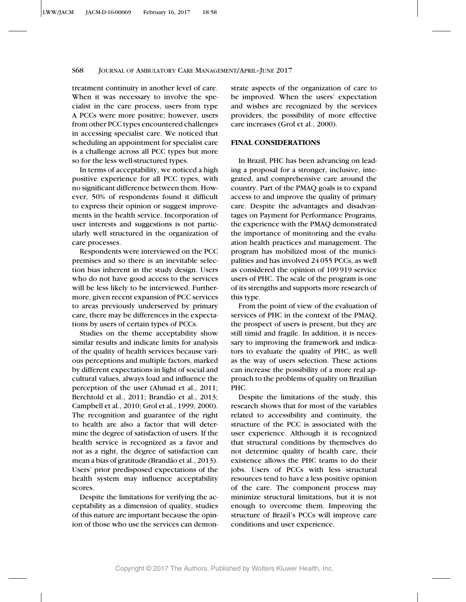treatment continuity in another level of care. When it was necessary to involve the specialist in the care process, users from type A PCCs were more positive; however, users from other PCC types encountered challenges in accessing specialist care. We noticed that scheduling an appointment for specialist care is a challenge across all PCC types but more so for the less well-structured types.

In terms of acceptability, we noticed a high positive experience for all PCC types, with no significant difference between them. However, 50% of respondents found it difficult to express their opinion or suggest improvements in the health service. Incorporation of user interests and suggestions is not particularly well structured in the organization of care processes.

Respondents were interviewed on the PCC premises and so there is an inevitable selection bias inherent in the study design. Users who do not have good access to the services will be less likely to be interviewed. Furthermore, given recent expansion of PCC services to areas previously underserved by primary care, there may be differences in the expectations by users of certain types of PCCs.

Studies on the theme acceptability show similar results and indicate limits for analysis of the quality of health services because various perceptions and multiple factors, marked by different expectations in light of social and cultural values, always load and influence the perception of the user (Ahmad et al., 2011; Berchtold et al., 2011; Brandão et al., 2013; Campbell et al., 2010; Grol et al., 1999, 2000). The recognition and guarantee of the right to health are also a factor that will determine the degree of satisfaction of users. If the health service is recognized as a favor and not as a right, the degree of satisfaction can mean a bias of gratitude (Brandão et al., 2013). Users' prior predisposed expectations of the health system may influence acceptability scores.

Despite the limitations for verifying the acceptability as a dimension of quality, studies of this nature are important because the opinion of those who use the services can demonstrate aspects of the organization of care to be improved. When the users' expectation and wishes are recognized by the services providers, the possibility of more effective care increases (Grol et al., 2000).

### **FINAL CONSIDERATIONS**

In Brazil, PHC has been advancing on leading a proposal for a stronger, inclusive, integrated, and comprehensive care around the country. Part of the PMAQ goals is to expand access to and improve the quality of primary care. Despite the advantages and disadvantages on Payment for Performance Programs, the experience with the PMAQ demonstrated the importance of monitoring and the evaluation health practices and management. The program has mobilized most of the municipalities and has involved 24 055 PCCs, as well as considered the opinion of 109 919 service users of PHC. The scale of the program is one of its strengths and supports more research of this type.

From the point of view of the evaluation of services of PHC in the context of the PMAQ, the prospect of users is present, but they are still timid and fragile. In addition, it is necessary to improving the framework and indicators to evaluate the quality of PHC, as well as the way of users selection. These actions can increase the possibility of a more real approach to the problems of quality on Brazilian PHC.

Despite the limitations of the study, this research shows that for most of the variables related to accessibility and continuity, the structure of the PCC is associated with the user experience. Although it is recognized that structural conditions by themselves do not determine quality of health care, their existence allows the PHC teams to do their jobs. Users of PCCs with less structural resources tend to have a less positive opinion of the care. The component process may minimize structural limitations, but it is not enough to overcome them. Improving the structure of Brazil's PCCs will improve care conditions and user experience.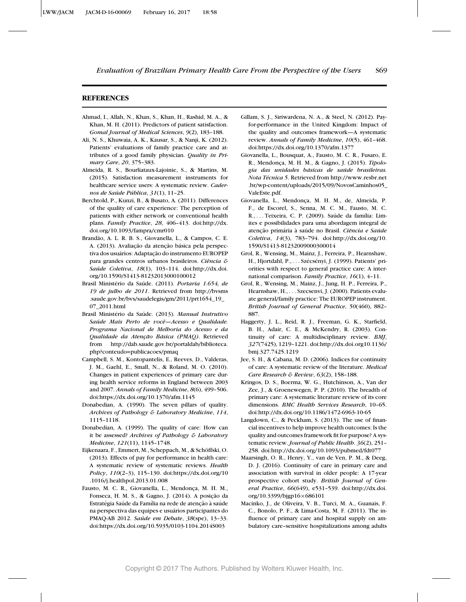# **REFERENCES**

- Ahmad, I., Allah, N., Khan, S., Khan, H., Rashid, M. A., & Khan, M. H. (2011). Predictors of patient satisfaction. *Gomal Journal of Medical Sciences*, *9*(2), 183–188.
- Ali, N. S., Khuwaia, A. K., Kausar, S., & Nanji, K. (2012). Patients' evaluations of family practice care and attributes of a good family physician. *Quality in Primary Care*, *20*, 375–383.
- Almeida, R. S., Bourliataux-Lajoinie, S., & Martins, M. (2015). Satisfaction measurement instruments for healthcare service users: A systematic review. *Cadernos de Saude P ´ ublica ´* , *31*(1), 11–25.
- Berchtold, P., Kunzi, B., & Busato, A. (2011). Differences of the quality of care experience: The perception of patients with either network or conventional health plans. *Family Practice*, *28*, 406–413. doi[:http://dx.](http://dx.doi.org/10.1093/fampra/cmr010) [doi.org/10.1093/fampra/cmr010](http://dx.doi.org/10.1093/fampra/cmr010)
- Brandão, A. L. R. B. S., Giovanella, L., & Campos, C. E. A. (2013). Avaliação da atenção básica pela perspectiva dos usuários: Adaptação do instrumento EUROPEP para grandes centros urbanos brasileiros. *Ciˆencia & Saude Coletiva ´* , *18*(1), 103–114. doi[:http://dx.doi.](http://dx.doi.org/10.1590/S1413-81232013000100012) [org/10.1590/S1413-81232013000100012](http://dx.doi.org/10.1590/S1413-81232013000100012)
- Brasil Ministério da Saúde. (2011). Portaria 1.654, de *19 de julho de 2011*. Retrieved from [http://bvsms](http://bvsms.saude.gov.br/bvs/saudelegis/gm/2011/prt1654_19_07_2011.html) [.saude.gov.br/bvs/saudelegis/gm/2011/prt1654\\_19\\_](http://bvsms.saude.gov.br/bvs/saudelegis/gm/2011/prt1654_19_07_2011.html) [07\\_2011.html](http://bvsms.saude.gov.br/bvs/saudelegis/gm/2011/prt1654_19_07_2011.html)
- Brasil Ministério da Saúde. (2013). Manual Instrutivo  $Sa$ úde Mais Perto de você-Acesso e Qualidade. *Programa Nacional de Melhoria do Acesso e da Qualidade da Atenc¸ao B ˜ asica (PMAQ) ´* . Retrieved from [http://dab.saude.gov.br/portaldab/biblioteca.](http://dab.saude.gov.br/portaldab/biblioteca.php?conteudo=publicacoes/pmaq) [php?conteudo=publicacoes/pmaq](http://dab.saude.gov.br/portaldab/biblioteca.php?conteudo=publicacoes/pmaq)
- Campbell, S. M., Kontopantelis, E., Reeves, D., Valderas, J. M., Gaehl, E., Small, N., & Roland, M. O. (2010). Changes in patient experiences of primary care during health service reforms in England between 2003 and 2007. *Annals of Family Medicine*, *8*(6), 499–506. doi:https://dx.doi.org/10.1370/afm.1145
- Donabedian, A. (1990). The seven pillars of quality. *Archives of Pathology & Laboratory Medicine*, *114*, 1115–1118.
- Donabedian, A. (1999). The quality of care: How can it be assessed? *Archives of Pathology & Laboratory Medicine*, *121*(11), 1145–1748.
- Eijkenaara, F., Emmert, M., Scheppach, M., & Schoffski, O. ¨ (2013). Effects of pay for performance in health care: A systematic review of systematic reviews. *Health Policy*, *110*(2–3), 115–130. doi:https://dx.doi.org/10 .1016/j.healthpol.2013.01.008
- Fausto, M. C. R., Giovanella, L., Mendonça, M. H. M., Fonseca, H. M. S., & Gagno, J. (2014). A posição da Estratégia Saúde da Família na rede de atenção à saúde na perspectiva das equipes e usuários participantes do PMAQ-AB 2012. *Saude em Debate ´* , *38*(spe), 13–33. doi:https://dx.doi.org/10.5935/0103-1104.2014S003
- Gillam, S. J., Siriwardena, N. A., & Steel, N. (2012). Payfor-performance in the United Kingdom: Impact of the quality and outcomes framework—A systematic review. *Annals of Family Medicine*, *10*(5), 461–468. doi:https://dx.doi.org/10.1370/afm.1377
- Giovanella, L., Bousquat, A., Fausto, M. C. R., Fusaro, E. R., Mendonca, M. H. M., & Gagno, J. (2015). *Tipologia das unidades basicas de sa ´ ude brasileiras. ´ Nota T´ecnica 5*. Retrieved from [http://www.resbr.net](http://www.resbr.net.br/wp-content/uploads/2015/09/NovosCaminhos05_ValeEste.pdf) [.br/wp-content/uploads/2015/09/NovosCaminhos05\\_](http://www.resbr.net.br/wp-content/uploads/2015/09/NovosCaminhos05_ValeEste.pdf) [ValeEste.pdf.](http://www.resbr.net.br/wp-content/uploads/2015/09/NovosCaminhos05_ValeEste.pdf)
- Giovanella, L., Mendonça, M. H. M., de, Almeida, P. F., de Escorel, S., Senna, M. C. M., Fausto, M. C. R., ... Teixeira, C. P. (2009). Saúde da família: Limites e possibilidades para uma abordagem integral de atenção primária à saúde no Brasil. Ciência e Saúde *Coletiva*, *14*(3), 783–794. doi[:http://dx.doi.org/10.](http://dx.doi.org/10.1590/S1413-81232009000300014) [1590/S1413-81232009000300014](http://dx.doi.org/10.1590/S1413-81232009000300014)
- Grol, R., Wensing, M., Mainz, J., Ferreira, P., Hearnshaw, H., Hjortdahl, P., ... Szécsényi, J. (1999). Patients' priorities with respect to general practice care: A international comparison. *Family Practice*, *16*(1), 4–11.
- Grol, R., Wensing, M., Mainz, J., Jung, H. P., Ferreira, P., Hearnshaw, H., . . . Szecsenvi, J. (2000). Patients evaluate general/family practice: The EUROPEP instrument. *British Journal of General Practice*, *50*(460), 882– 887.
- Haggerty, J. L., Reid, R. J., Freeman, G. K., Starfield, B. H., Adair, C. E., & McKendry, R. (2003). Continuity of care: A multidisciplinary review. *BMJ*, *327*(7425), 1219–1221. doi[:http://dx.doi.org10.1136/](http://dx.doi.org10.1136/bmj.327.7425.1219) [bmj.327.7425.1219](http://dx.doi.org10.1136/bmj.327.7425.1219)
- Jee, S. H., & Cabana, M. D. (2006). Indices for continuity of care: A systematic review of the literature. *Medical Care Research & Review*, *63*(2), 158–188.
- Kringos, D. S., Boerma, W. G., Hutchinson, A., Van der Zee, J., & Groenewegen, P. P. (2010). The breadth of primary care: A systematic literature review of its core dimensions. *BMC Health Services Research*, 10–65. doi[:http://dx.doi.org/10.1186/1472-6963-10-65](http://dx.doi.org/10.1186/1472-6963-10-65)
- Langdown, C., & Peckham, S. (2013). The use of financial incentives to help improve health outcomes: Is the quality and outcomes framework fit for purpose? A systematic review. *Journal of Public Health*. *36*(2), 251– 258. doi[:http://dx.doi.org/10.1093/pubmed/fdt077](http://dx.doi.org/10.1093/pubmed/fdt077)
- Maarsingh, O. R., Henry, Y., van de Ven, P. M., & Deeg, D. J. (2016). Continuity of care in primary care and association with survival in older people: A 17-year prospective cohort study. *British Journal of General Practice*, *66*(649), e531–539. doi[:http://dx.doi.](http://dx.doi.org/10.3399/bjgp16x686101) [org/10.3399/bjgp16](http://dx.doi.org/10.3399/bjgp16x686101)×686101
- Macinko, J., de Oliveira, V. B., Turci, M. A., Guanais, F. C., Bonolo, P. F., & Lima-Costa, M. F. (2011). The influence of primary care and hospital supply on ambulatory care–sensitive hospitalizations among adults